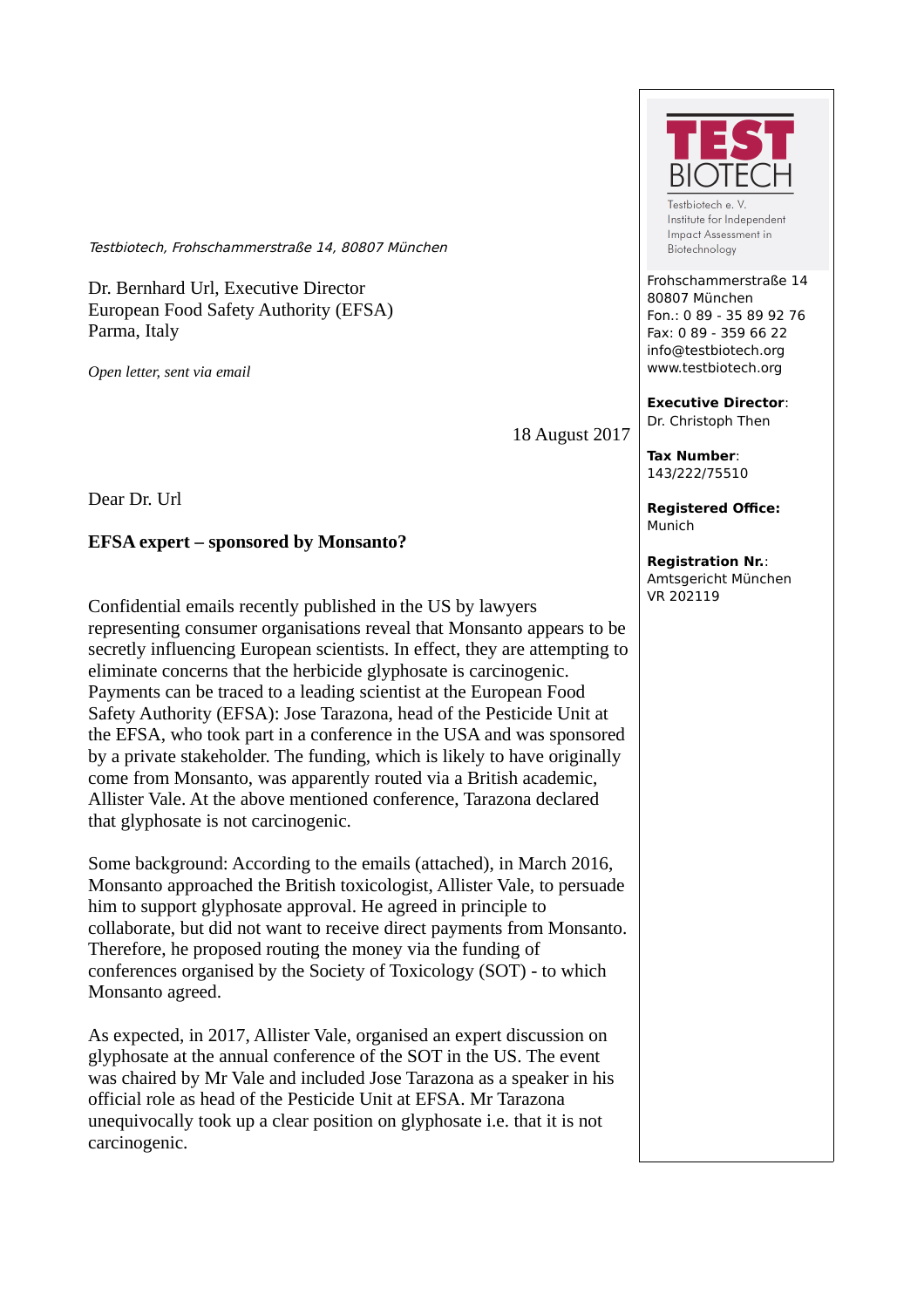Testbiotech, Frohschammerstraße 14, 80807 München

Dr. Bernhard Url, Executive Director European Food Safety Authority (EFSA) Parma, Italy

*Open letter, sent via email*

18 August 2017

Dear Dr. Url

**EFSA expert – sponsored by Monsanto?** 

Confidential emails recently published in the US by lawyers representing consumer organisations reveal that Monsanto appears to be secretly influencing European scientists. In effect, they are attempting to eliminate concerns that the herbicide glyphosate is carcinogenic. Payments can be traced to a leading scientist at the European Food Safety Authority (EFSA): Jose Tarazona, head of the Pesticide Unit at the EFSA, who took part in a conference in the USA and was sponsored by a private stakeholder. The funding, which is likely to have originally come from Monsanto, was apparently routed via a British academic, Allister Vale. At the above mentioned conference, Tarazona declared that glyphosate is not carcinogenic.

Some background: According to the emails (attached), in March 2016, Monsanto approached the British toxicologist, Allister Vale, to persuade him to support glyphosate approval. He agreed in principle to collaborate, but did not want to receive direct payments from Monsanto. Therefore, he proposed routing the money via the funding of conferences organised by the Society of Toxicology (SOT) - to which Monsanto agreed.

As expected, in 2017, Allister Vale, organised an expert discussion on glyphosate at the annual conference of the SOT in the US. The event was chaired by Mr Vale and included Jose Tarazona as a speaker in his official role as head of the Pesticide Unit at EFSA. Mr Tarazona unequivocally took up a clear position on glyphosate i.e. that it is not carcinogenic.



Institute for Independent Impact Assessment in Biotechnology

Frohschammerstraße 14 80807 München Fon.: 0 89 - 35 89 92 76 Fax: 0 89 - 359 66 22 info@testbiotech.org www.testbiotech.org

**Executive Director**: Dr. Christoph Then

**Tax Number**: 143/222/75510

**Registered Office:** Munich

**Registration Nr.**: Amtsgericht München VR 202119